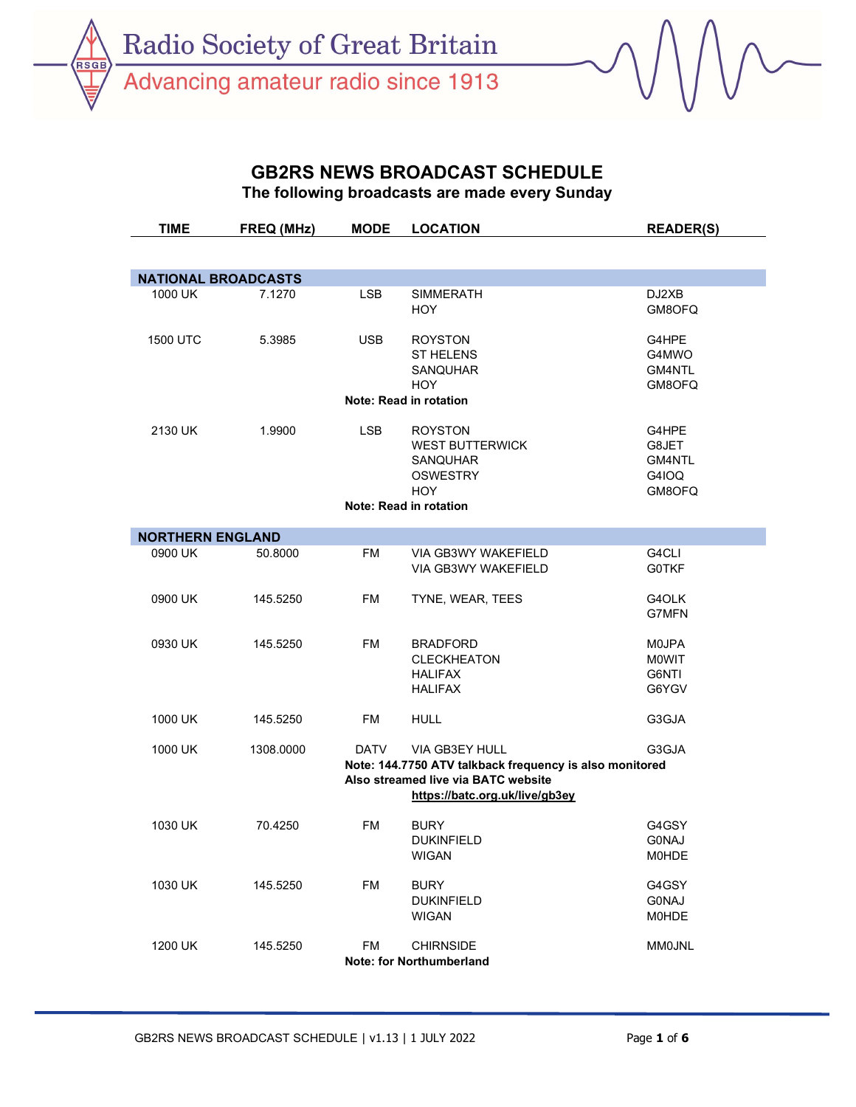**RSGI** 

Advancing amateur radio since 1913

## GB2RS NEWS BROADCAST SCHEDULE

The following broadcasts are made every Sunday

| TIME                    | FREQ (MHz)                 | <b>MODE</b> | <b>LOCATION</b>                                         | <b>READER(S)</b> |  |  |
|-------------------------|----------------------------|-------------|---------------------------------------------------------|------------------|--|--|
|                         |                            |             |                                                         |                  |  |  |
|                         | <b>NATIONAL BROADCASTS</b> |             |                                                         |                  |  |  |
| 1000 UK                 | 7.1270                     | <b>LSB</b>  | <b>SIMMERATH</b>                                        | DJ2XB            |  |  |
|                         |                            |             | <b>HOY</b>                                              | GM8OFQ           |  |  |
|                         |                            |             |                                                         |                  |  |  |
| 1500 UTC                | 5.3985                     | <b>USB</b>  | <b>ROYSTON</b>                                          | G4HPE            |  |  |
|                         |                            |             | <b>ST HELENS</b>                                        | G4MWO            |  |  |
|                         |                            |             | <b>SANQUHAR</b>                                         | GM4NTL           |  |  |
|                         |                            |             | <b>HOY</b>                                              | GM8OFQ           |  |  |
|                         |                            |             | Note: Read in rotation                                  |                  |  |  |
| 2130 UK                 | 1.9900                     | <b>LSB</b>  | <b>ROYSTON</b>                                          | G4HPE            |  |  |
|                         |                            |             | <b>WEST BUTTERWICK</b>                                  | G8JET            |  |  |
|                         |                            |             | SANQUHAR                                                | GM4NTL           |  |  |
|                         |                            |             | <b>OSWESTRY</b>                                         | G4IOQ            |  |  |
|                         |                            |             | <b>HOY</b>                                              | GM8OFQ           |  |  |
|                         |                            |             | Note: Read in rotation                                  |                  |  |  |
|                         |                            |             |                                                         |                  |  |  |
| <b>NORTHERN ENGLAND</b> |                            |             |                                                         |                  |  |  |
| 0900 UK                 | 50.8000                    | <b>FM</b>   | VIA GB3WY WAKEFIELD                                     | G4CLI            |  |  |
|                         |                            |             | VIA GB3WY WAKEFIELD                                     | <b>G0TKF</b>     |  |  |
| 0900 UK                 | 145.5250                   | <b>FM</b>   | TYNE, WEAR, TEES                                        | G4OLK            |  |  |
|                         |                            |             |                                                         | G7MFN            |  |  |
|                         |                            |             |                                                         |                  |  |  |
| 0930 UK                 | 145.5250                   | <b>FM</b>   | <b>BRADFORD</b>                                         | M0JPA            |  |  |
|                         |                            |             | <b>CLECKHEATON</b>                                      | <b>MOWIT</b>     |  |  |
|                         |                            |             | <b>HALIFAX</b>                                          | G6NTI            |  |  |
|                         |                            |             | <b>HALIFAX</b>                                          | G6YGV            |  |  |
|                         |                            |             |                                                         |                  |  |  |
| 1000 UK                 | 145.5250                   | <b>FM</b>   | <b>HULL</b>                                             | G3GJA            |  |  |
| 1000 UK                 | 1308.0000                  | <b>DATV</b> | VIA GB3EY HULL                                          | G3GJA            |  |  |
|                         |                            |             | Note: 144.7750 ATV talkback frequency is also monitored |                  |  |  |
|                         |                            |             | Also streamed live via BATC website                     |                  |  |  |
|                         |                            |             | https://batc.org.uk/live/gb3ey                          |                  |  |  |
| 1030 UK                 | 70.4250                    | <b>FM</b>   | <b>BURY</b>                                             | G4GSY            |  |  |
|                         |                            |             | <b>DUKINFIELD</b>                                       | <b>GONAJ</b>     |  |  |
|                         |                            |             | <b>WIGAN</b>                                            | <b>MOHDE</b>     |  |  |
|                         |                            |             |                                                         |                  |  |  |
| 1030 UK                 | 145.5250                   | <b>FM</b>   | <b>BURY</b>                                             | G4GSY            |  |  |
|                         |                            |             | <b>DUKINFIELD</b>                                       | <b>GONAJ</b>     |  |  |
|                         |                            |             | <b>WIGAN</b>                                            | <b>MOHDE</b>     |  |  |
| 1200 UK                 | 145.5250                   | <b>FM</b>   | <b>CHIRNSIDE</b>                                        | <b>MM0JNL</b>    |  |  |
|                         |                            |             | Note: for Northumberland                                |                  |  |  |
|                         |                            |             |                                                         |                  |  |  |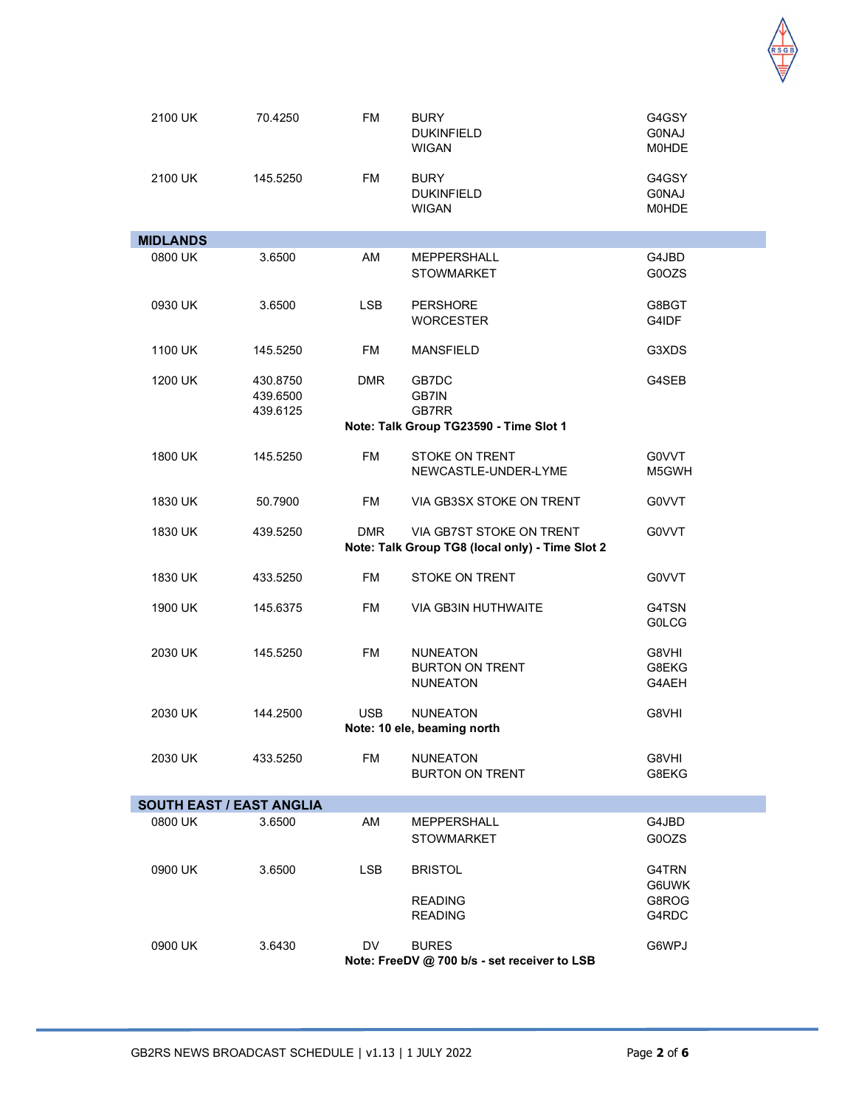

| 2100 UK         | 70.4250                          | <b>FM</b>  | <b>BURY</b><br><b>DUKINFIELD</b><br><b>WIGAN</b>                            | G4GSY<br><b>GONAJ</b><br><b>MOHDE</b> |
|-----------------|----------------------------------|------------|-----------------------------------------------------------------------------|---------------------------------------|
| 2100 UK         | 145.5250                         | <b>FM</b>  | <b>BURY</b><br><b>DUKINFIELD</b><br><b>WIGAN</b>                            | G4GSY<br><b>G0NAJ</b><br><b>MOHDE</b> |
| <b>MIDLANDS</b> |                                  |            |                                                                             |                                       |
| 0800 UK         | 3.6500                           | AM         | <b>MEPPERSHALL</b><br><b>STOWMARKET</b>                                     | G4JBD<br>G0OZS                        |
| 0930 UK         | 3.6500                           | <b>LSB</b> | <b>PERSHORE</b><br><b>WORCESTER</b>                                         | G8BGT<br>G4IDF                        |
| 1100 UK         | 145.5250                         | FM         | <b>MANSFIELD</b>                                                            | G3XDS                                 |
| 1200 UK         | 430.8750<br>439.6500<br>439.6125 | DMR        | GB7DC<br>GB7IN<br>GB7RR                                                     | G4SEB                                 |
|                 |                                  |            | Note: Talk Group TG23590 - Time Slot 1                                      |                                       |
| 1800 UK         | 145.5250                         | <b>FM</b>  | <b>STOKE ON TRENT</b><br>NEWCASTLE-UNDER-LYME                               | G0VVT<br>M5GWH                        |
| 1830 UK         | 50.7900                          | FM         | VIA GB3SX STOKE ON TRENT                                                    | G0VVT                                 |
| 1830 UK         | 439.5250                         | DMR.       | VIA GB7ST STOKE ON TRENT<br>Note: Talk Group TG8 (local only) - Time Slot 2 | G0VVT                                 |
| 1830 UK         | 433.5250                         | <b>FM</b>  | STOKE ON TRENT                                                              | G0VVT                                 |
| 1900 UK         | 145.6375                         | <b>FM</b>  | VIA GB3IN HUTHWAITE                                                         | G4TSN<br><b>GOLCG</b>                 |
| 2030 UK         | 145.5250                         | <b>FM</b>  | <b>NUNEATON</b><br><b>BURTON ON TRENT</b><br><b>NUNEATON</b>                | G8VHI<br>G8EKG<br>G4AEH               |
| 2030 UK         | 144.2500                         | <b>USB</b> | <b>NUNEATON</b><br>Note: 10 ele, beaming north                              | G8VHI                                 |
| 2030 UK         | 433.5250                         | FM.        | <b>NUNEATON</b><br><b>BURTON ON TRENT</b>                                   | G8VHI<br>G8EKG                        |
|                 | <b>SOUTH EAST / EAST ANGLIA</b>  |            |                                                                             |                                       |
| 0800 UK         | 3.6500                           | AM         | <b>MEPPERSHALL</b><br><b>STOWMARKET</b>                                     | G4JBD<br>G0OZS                        |
| 0900 UK         | 3.6500                           | <b>LSB</b> | <b>BRISTOL</b><br><b>READING</b><br><b>READING</b>                          | G4TRN<br>G6UWK<br>G8ROG<br>G4RDC      |
| 0900 UK         | 3.6430                           | DV.        | <b>BURES</b><br>Note: FreeDV @ 700 b/s - set receiver to LSB                | G6WPJ                                 |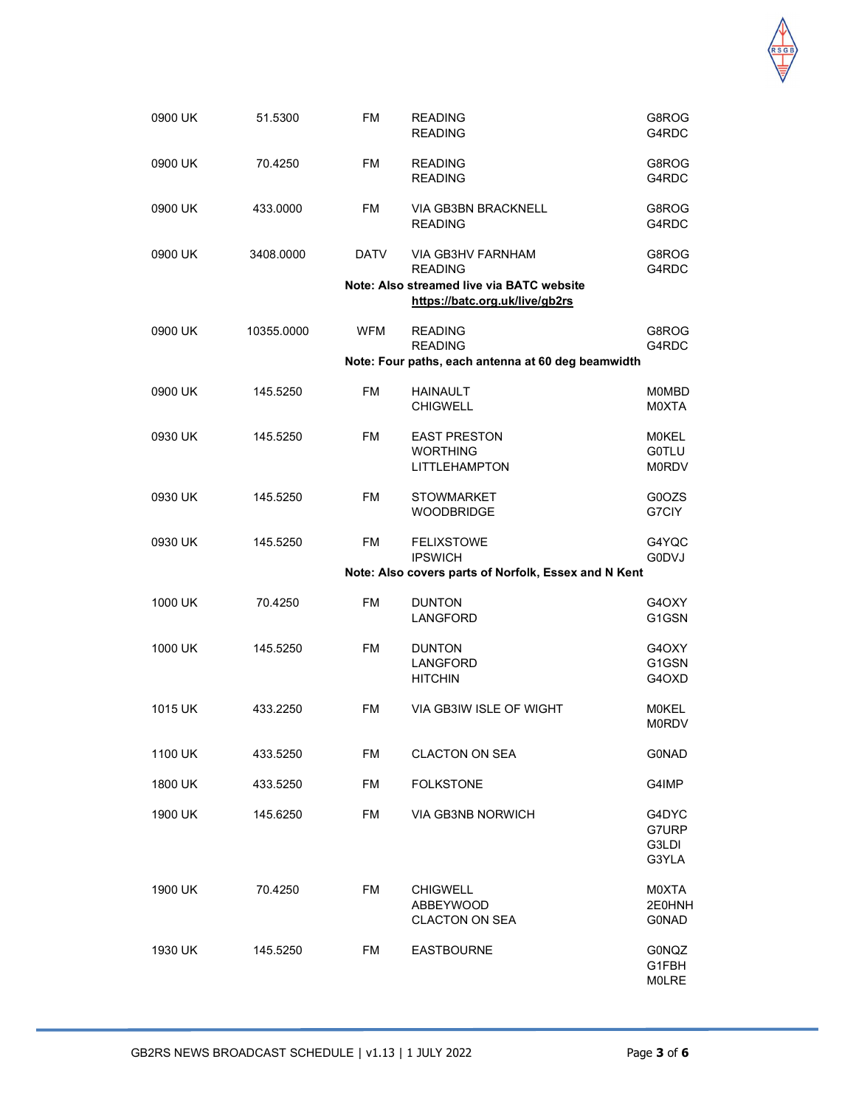

| 0900 UK | 51.5300    | <b>FM</b>   | <b>READING</b><br><b>READING</b>                                                                                   | G8ROG<br>G4RDC                               |
|---------|------------|-------------|--------------------------------------------------------------------------------------------------------------------|----------------------------------------------|
| 0900 UK | 70.4250    | <b>FM</b>   | <b>READING</b><br><b>READING</b>                                                                                   | G8ROG<br>G4RDC                               |
| 0900 UK | 433.0000   | <b>FM</b>   | VIA GB3BN BRACKNELL<br><b>READING</b>                                                                              | G8ROG<br>G4RDC                               |
| 0900 UK | 3408.0000  | <b>DATV</b> | VIA GB3HV FARNHAM<br><b>READING</b><br>Note: Also streamed live via BATC website<br>https://batc.org.uk/live/gb2rs | G8ROG<br>G4RDC                               |
| 0900 UK | 10355.0000 | <b>WFM</b>  | <b>READING</b><br><b>READING</b><br>Note: Four paths, each antenna at 60 deg beamwidth                             | G8ROG<br>G4RDC                               |
| 0900 UK | 145.5250   | <b>FM</b>   | <b>HAINAULT</b><br><b>CHIGWELL</b>                                                                                 | <b>MOMBD</b><br>M0XTA                        |
| 0930 UK | 145.5250   | <b>FM</b>   | <b>EAST PRESTON</b><br><b>WORTHING</b><br>LITTLEHAMPTON                                                            | <b>MOKEL</b><br><b>G0TLU</b><br><b>M0RDV</b> |
| 0930 UK | 145.5250   | FM          | <b>STOWMARKET</b><br><b>WOODBRIDGE</b>                                                                             | G0OZS<br>G7CIY                               |
| 0930 UK | 145.5250   | <b>FM</b>   | <b>FELIXSTOWE</b><br><b>IPSWICH</b><br>Note: Also covers parts of Norfolk, Essex and N Kent                        | G4YQC<br><b>G0DVJ</b>                        |
| 1000 UK | 70.4250    | FM          | <b>DUNTON</b><br>LANGFORD                                                                                          | G4OXY<br>G1GSN                               |
| 1000 UK | 145.5250   | <b>FM</b>   | <b>DUNTON</b><br>LANGFORD<br><b>HITCHIN</b>                                                                        | G4OXY<br>G1GSN<br>G4OXD                      |
| 1015 UK | 433.2250   | FM          | VIA GB3IW ISLE OF WIGHT                                                                                            | <b>MOKEL</b><br><b>M0RDV</b>                 |
| 1100 UK | 433.5250   | FM          | <b>CLACTON ON SEA</b>                                                                                              | <b>G0NAD</b>                                 |
| 1800 UK | 433.5250   | <b>FM</b>   | <b>FOLKSTONE</b>                                                                                                   | G4IMP                                        |
| 1900 UK | 145.6250   | FM          | VIA GB3NB NORWICH                                                                                                  | G4DYC<br>G7URP<br>G3LDI<br>G3YLA             |
| 1900 UK | 70.4250    | FM          | <b>CHIGWELL</b><br><b>ABBEYWOOD</b><br><b>CLACTON ON SEA</b>                                                       | M0XTA<br>2E0HNH<br><b>G0NAD</b>              |
| 1930 UK | 145.5250   | FM          | <b>EASTBOURNE</b>                                                                                                  | G0NQZ<br>G1FBH<br><b>MOLRE</b>               |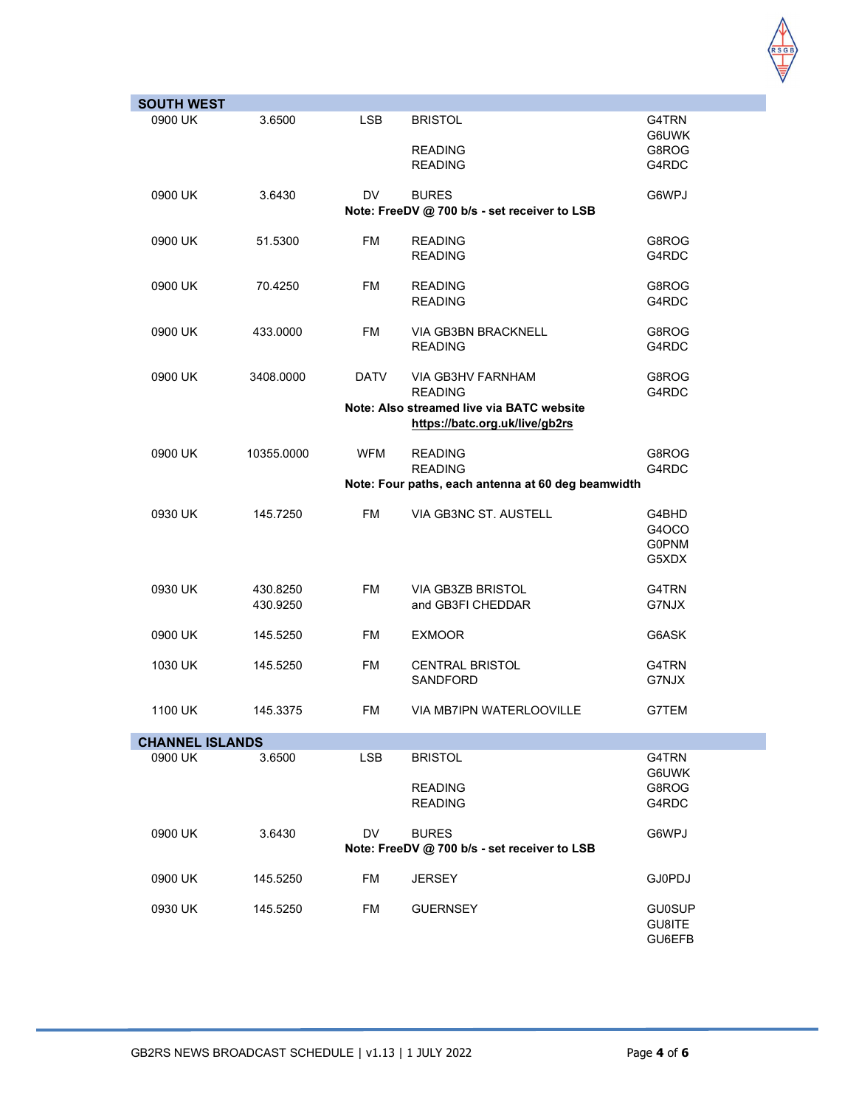

| <b>SOUTH WEST</b> |                        |             |                                                    |                |  |  |  |
|-------------------|------------------------|-------------|----------------------------------------------------|----------------|--|--|--|
| 0900 UK           | 3.6500                 | <b>LSB</b>  | <b>BRISTOL</b>                                     | G4TRN          |  |  |  |
|                   |                        |             |                                                    | G6UWK          |  |  |  |
|                   |                        |             | <b>READING</b>                                     | G8ROG          |  |  |  |
|                   |                        |             | <b>READING</b>                                     | G4RDC          |  |  |  |
|                   |                        |             |                                                    |                |  |  |  |
| 0900 UK           | 3.6430                 | DV          | <b>BURES</b>                                       | G6WPJ          |  |  |  |
|                   |                        |             | Note: FreeDV @ 700 b/s - set receiver to LSB       |                |  |  |  |
|                   |                        |             |                                                    |                |  |  |  |
| 0900 UK           | 51.5300                | <b>FM</b>   | <b>READING</b>                                     | G8ROG          |  |  |  |
|                   |                        |             | <b>READING</b>                                     | G4RDC          |  |  |  |
|                   |                        |             |                                                    |                |  |  |  |
| 0900 UK           | 70.4250                | <b>FM</b>   | <b>READING</b>                                     | G8ROG          |  |  |  |
|                   |                        |             | <b>READING</b>                                     | G4RDC          |  |  |  |
|                   |                        |             |                                                    |                |  |  |  |
| 0900 UK           | 433.0000               | <b>FM</b>   | <b>VIA GB3BN BRACKNELL</b><br><b>READING</b>       | G8ROG<br>G4RDC |  |  |  |
|                   |                        |             |                                                    |                |  |  |  |
| 0900 UK           | 3408.0000              | <b>DATV</b> | VIA GB3HV FARNHAM                                  | G8ROG          |  |  |  |
|                   |                        |             | <b>READING</b>                                     | G4RDC          |  |  |  |
|                   |                        |             | Note: Also streamed live via BATC website          |                |  |  |  |
|                   |                        |             | https://batc.org.uk/live/gb2rs                     |                |  |  |  |
|                   |                        |             |                                                    |                |  |  |  |
| 0900 UK           | 10355.0000             | <b>WFM</b>  | <b>READING</b>                                     | G8ROG          |  |  |  |
|                   |                        |             | <b>READING</b>                                     | G4RDC          |  |  |  |
|                   |                        |             | Note: Four paths, each antenna at 60 deg beamwidth |                |  |  |  |
|                   |                        |             |                                                    |                |  |  |  |
| 0930 UK           | 145.7250               | <b>FM</b>   | VIA GB3NC ST. AUSTELL                              | G4BHD          |  |  |  |
|                   |                        |             |                                                    | G4OCO          |  |  |  |
|                   |                        |             |                                                    | <b>G0PNM</b>   |  |  |  |
|                   |                        |             |                                                    | G5XDX          |  |  |  |
| 0930 UK           | 430.8250               | <b>FM</b>   | <b>VIA GB3ZB BRISTOL</b>                           | G4TRN          |  |  |  |
|                   | 430.9250               |             | and GB3FI CHEDDAR                                  | G7NJX          |  |  |  |
|                   |                        |             |                                                    |                |  |  |  |
| 0900 UK           | 145.5250               | <b>FM</b>   | <b>EXMOOR</b>                                      | G6ASK          |  |  |  |
|                   |                        |             |                                                    |                |  |  |  |
| 1030 UK           | 145.5250               | <b>FM</b>   | <b>CENTRAL BRISTOL</b>                             | G4TRN          |  |  |  |
|                   |                        |             | SANDFORD                                           | G7NJX          |  |  |  |
|                   |                        |             |                                                    |                |  |  |  |
| 1100 UK           | 145.3375               | <b>FM</b>   | VIA MB7IPN WATERLOOVILLE                           | G7TEM          |  |  |  |
|                   |                        |             |                                                    |                |  |  |  |
|                   | <b>CHANNEL ISLANDS</b> |             |                                                    |                |  |  |  |
| 0900 UK           | 3.6500                 | <b>LSB</b>  | <b>BRISTOL</b>                                     | G4TRN          |  |  |  |
|                   |                        |             |                                                    | G6UWK          |  |  |  |
|                   |                        |             | <b>READING</b>                                     | G8ROG          |  |  |  |
|                   |                        |             | <b>READING</b>                                     | G4RDC          |  |  |  |
| 0900 UK           | 3.6430                 | DV          | <b>BURES</b>                                       | G6WPJ          |  |  |  |
|                   |                        |             | Note: FreeDV @ 700 b/s - set receiver to LSB       |                |  |  |  |
|                   |                        |             |                                                    |                |  |  |  |
| 0900 UK           | 145.5250               | <b>FM</b>   | <b>JERSEY</b>                                      | GJ0PDJ         |  |  |  |
|                   |                        |             |                                                    |                |  |  |  |
| 0930 UK           | 145.5250               | <b>FM</b>   | <b>GUERNSEY</b>                                    | <b>GU0SUP</b>  |  |  |  |
|                   |                        |             |                                                    | GU8ITE         |  |  |  |
|                   |                        |             |                                                    | GU6EFB         |  |  |  |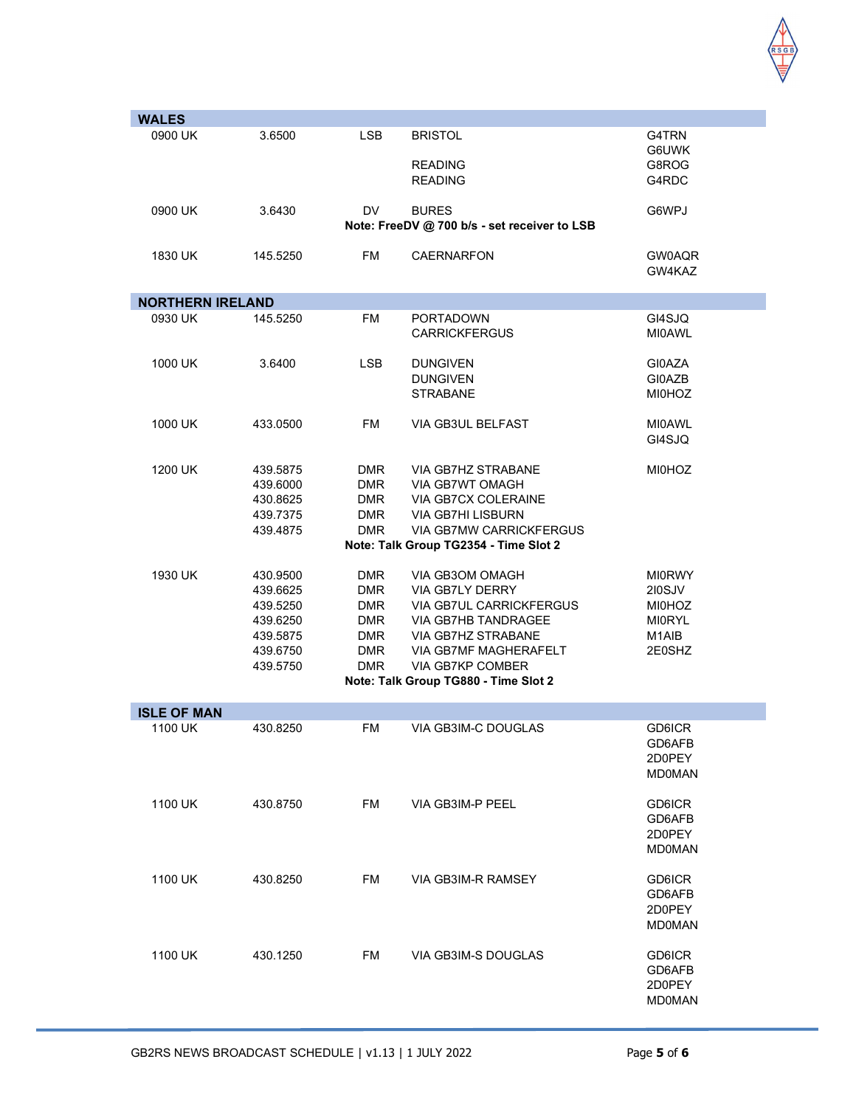

| <b>WALES</b>            |          |            |                                              |               |
|-------------------------|----------|------------|----------------------------------------------|---------------|
| 0900 UK                 | 3.6500   | <b>LSB</b> | <b>BRISTOL</b>                               | G4TRN         |
|                         |          |            |                                              | G6UWK         |
|                         |          |            | <b>READING</b>                               | G8ROG         |
|                         |          |            | <b>READING</b>                               | G4RDC         |
|                         |          |            |                                              |               |
| 0900 UK                 | 3.6430   | <b>DV</b>  | <b>BURES</b>                                 | G6WPJ         |
|                         |          |            | Note: FreeDV @ 700 b/s - set receiver to LSB |               |
|                         |          |            |                                              |               |
| 1830 UK                 |          | <b>FM</b>  | <b>CAERNARFON</b>                            | GW0AQR        |
|                         | 145.5250 |            |                                              |               |
|                         |          |            |                                              | GW4KAZ        |
|                         |          |            |                                              |               |
| <b>NORTHERN IRELAND</b> |          |            |                                              |               |
| 0930 UK                 | 145.5250 | <b>FM</b>  | <b>PORTADOWN</b>                             | GI4SJQ        |
|                         |          |            | <b>CARRICKFERGUS</b>                         | <b>MI0AWL</b> |
|                         |          |            |                                              |               |
| 1000 UK                 | 3.6400   | <b>LSB</b> | <b>DUNGIVEN</b>                              | <b>GI0AZA</b> |
|                         |          |            | <b>DUNGIVEN</b>                              | GI0AZB        |
|                         |          |            | <b>STRABANE</b>                              | <b>MI0HOZ</b> |
|                         |          |            |                                              |               |
| 1000 UK                 | 433.0500 | <b>FM</b>  | VIA GB3UL BELFAST                            | <b>MI0AWL</b> |
|                         |          |            |                                              | GI4SJQ        |
|                         |          |            |                                              |               |
| 1200 UK                 | 439.5875 | <b>DMR</b> | VIA GB7HZ STRABANE                           | <b>MI0HOZ</b> |
|                         | 439.6000 | <b>DMR</b> | VIA GB7WT OMAGH                              |               |
|                         | 430.8625 | <b>DMR</b> | VIA GB7CX COLERAINE                          |               |
|                         | 439.7375 | <b>DMR</b> | <b>VIA GB7HI LISBURN</b>                     |               |
|                         | 439.4875 | <b>DMR</b> | VIA GB7MW CARRICKFERGUS                      |               |
|                         |          |            | Note: Talk Group TG2354 - Time Slot 2        |               |
|                         |          |            |                                              |               |
| 1930 UK                 | 430.9500 | <b>DMR</b> | VIA GB3OM OMAGH                              | <b>MI0RWY</b> |
|                         | 439.6625 | <b>DMR</b> | VIA GB7LY DERRY                              | 210SJV        |
|                         |          |            |                                              |               |
|                         | 439.5250 | <b>DMR</b> | VIA GB7UL CARRICKFERGUS                      | <b>MI0HOZ</b> |
|                         | 439.6250 | <b>DMR</b> | VIA GB7HB TANDRAGEE                          | <b>MI0RYL</b> |
|                         | 439.5875 | <b>DMR</b> | VIA GB7HZ STRABANE                           | M1AIB         |
|                         | 439.6750 | <b>DMR</b> | VIA GB7MF MAGHERAFELT                        | 2E0SHZ        |
|                         | 439.5750 | <b>DMR</b> | <b>VIA GB7KP COMBER</b>                      |               |
|                         |          |            | Note: Talk Group TG880 - Time Slot 2         |               |
|                         |          |            |                                              |               |
| <b>ISLE OF MAN</b>      |          |            |                                              |               |
| 1100 UK                 | 430.8250 | FM         | VIA GB3IM-C DOUGLAS                          | GD6ICR        |
|                         |          |            |                                              | GD6AFB        |
|                         |          |            |                                              | 2D0PEY        |
|                         |          |            |                                              | <b>MD0MAN</b> |
|                         |          |            |                                              |               |
| 1100 UK                 | 430.8750 | FM         | VIA GB3IM-P PEEL                             | GD6ICR        |
|                         |          |            |                                              | GD6AFB        |
|                         |          |            |                                              | 2D0PEY        |
|                         |          |            |                                              | <b>MD0MAN</b> |
|                         |          |            |                                              |               |
| 1100 UK                 | 430.8250 | <b>FM</b>  | VIA GB3IM-R RAMSEY                           | GD6ICR        |
|                         |          |            |                                              | GD6AFB        |
|                         |          |            |                                              | 2D0PEY        |
|                         |          |            |                                              | <b>MD0MAN</b> |
|                         |          |            |                                              |               |
| 1100 UK                 | 430.1250 | <b>FM</b>  | VIA GB3IM-S DOUGLAS                          | GD6ICR        |
|                         |          |            |                                              | GD6AFB        |
|                         |          |            |                                              | 2D0PEY        |
|                         |          |            |                                              |               |
|                         |          |            |                                              | <b>MD0MAN</b> |